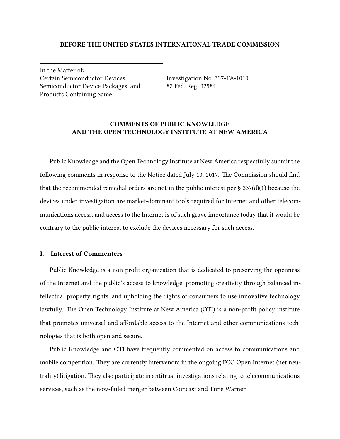#### **BEFORE THE UNITED STATES INTERNATIONAL TRADE COMMISSION**

In the Matter of: Certain Semiconductor Devices, Semiconductor Device Packages, and Products Containing Same

Investigation No. 337-TA-1010 82 Fed. Reg. 32584

## **COMMENTS OF PUBLIC KNOWLEDGE AND THE OPEN TECHNOLOGY INSTITUTE AT NEW AMERICA**

Public Knowledge and the Open Technology Institute at New America respectfully submit the following comments in response to the Notice dated July 10, 2017. The Commission should find that the recommended remedial orders are not in the public interest per  $\S 337(d)(1)$  because the devices under investigation are market-dominant tools required for Internet and other telecommunications access, and access to the Internet is of such grave importance today that it would be contrary to the public interest to exclude the devices necessary for such access.

## **I. Interest of Commenters**

Public Knowledge is a non-profit organization that is dedicated to preserving the openness of the Internet and the public's access to knowledge, promoting creativity through balanced intellectual property rights, and upholding the rights of consumers to use innovative technology lawfully. The Open Technology Institute at New America (OTI) is a non-profit policy institute that promotes universal and affordable access to the Internet and other communications technologies that is both open and secure.

Public Knowledge and OTI have frequently commented on access to communications and mobile competition. They are currently intervenors in the ongoing FCC Open Internet (net neutrality) litigation. They also participate in antitrust investigations relating to telecommunications services, such as the now-failed merger between Comcast and Time Warner.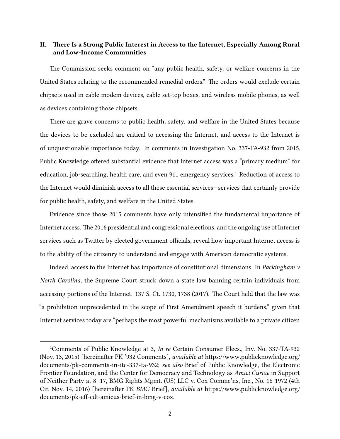# **II. There Is a Strong Public Interest in Access to the Internet, Especially Among Rural and Low-Income Communities**

The Commission seeks comment on "any public health, safety, or welfare concerns in the United States relating to the recommended remedial orders." The orders would exclude certain chipsets used in cable modem devices, cable set-top boxes, and wireless mobile phones, as well as devices containing those chipsets.

There are grave concerns to public health, safety, and welfare in the United States because the devices to be excluded are critical to accessing the Internet, and access to the Internet is of unquestionable importance today. In comments in Investigation No. 337-TA-932 from 2015, Public Knowledge offered substantial evidence that Internet access was a "primary medium" for education, job-searching, health care, and even 911 emergency services.<sup>1</sup> Reduction of access to the Internet would diminish access to all these essential services—services that certainly provide for public health, safety, and welfare in the United States.

Evidence since those 2015 comments have only intensified the fundamental importance of Internet access. The 2016 presidential and congressional elections, and the ongoing use of Internet services such as Twitter by elected government officials, reveal how important Internet access is to the ability of the citizenry to understand and engage with American democratic systems.

Indeed, access to the Internet has importance of constitutional dimensions. In *Packingham v. North Carolina*, the Supreme Court struck down a state law banning certain individuals from accessing portions of the Internet. 137 S. Ct. 1730, 1738 (2017). The Court held that the law was "a prohibition unprecedented in the scope of First Amendment speech it burdens," given that Internet services today are "perhaps the most powerful mechanisms available to a private citizen

<sup>&</sup>lt;sup>1</sup>Comments of Public Knowledge at 3, *In re* Certain Consumer Elecs., Inv. No. 337-TA-932 (Nov. 13, 2015) [hereinafter PK '932 Comments], *available at* https://www.publicknowledge.org/ documents/pk-comments-in-itc-337-ta-932; *see also* Brief of Public Knowledge, the Electronic Frontier Foundation, and the Center for Democracy and Technology as *Amici Curiae* in Support of Neither Party at 8–17, BMG Rights Mgmt. (US) LLC v. Cox Commc'ns, Inc., No. 16-1972 (4th Cir. Nov. 14, 2016) [hereinafter PK *BMG* Brief], *available at* https://www.publicknowledge.org/ documents/pk-eff-cdt-amicus-brief-in-bmg-v-cox.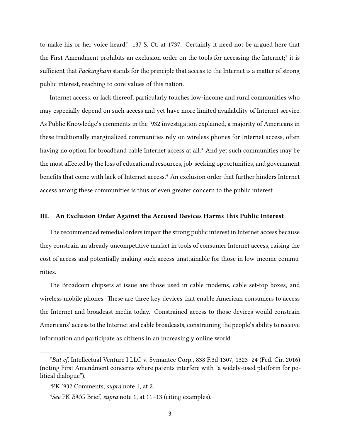to make his or her voice heard." 137 S. Ct. at 1737. Certainly it need not be argued here that the First Amendment prohibits an exclusion order on the tools for accessing the Internet;<sup>2</sup> it is sufficient that *Packingham* stands for the principle that access to the Internet is a matter of strong public interest, reaching to core values of this nation.

Internet access, or lack thereof, particularly touches low-income and rural communities who may especially depend on such access and yet have more limited availability of Internet service. As Public Knowledge's comments in the '932 investigation explained, a majority of Americans in these traditionally marginalized communities rely on wireless phones for Internet access, often having no option for broadband cable Internet access at all.<sup>3</sup> And yet such communities may be the most affected by the loss of educational resources, job-seeking opportunities, and government benefits that come with lack of Internet access.<sup>4</sup> An exclusion order that further hinders Internet access among these communities is thus of even greater concern to the public interest.

#### **III. An Exclusion Order Against the Accused Devices Harms This Public Interest**

The recommended remedial orders impair the strong public interest in Internet access because they constrain an already uncompetitive market in tools of consumer Internet access, raising the cost of access and potentially making such access unattainable for those in low-income communities.

The Broadcom chipsets at issue are those used in cable modems, cable set-top boxes, and wireless mobile phones. These are three key devices that enable American consumers to access the Internet and broadcast media today. Constrained access to those devices would constrain Americans' access to the Internet and cable broadcasts, constraining the people's ability to receive information and participate as citizens in an increasingly online world.

²*But cf.* Intellectual Venture I LLC v. Symantec Corp., 838 F.3d 1307, 1323–24 (Fed. Cir. 2016) (noting First Amendment concerns where patents interfere with "a widely-used platform for political dialogue").

³PK '932 Comments, *supra* note 1, at 2.

⁴*See* PK *BMG* Brief, *supra* note 1, at 11–13 (citing examples).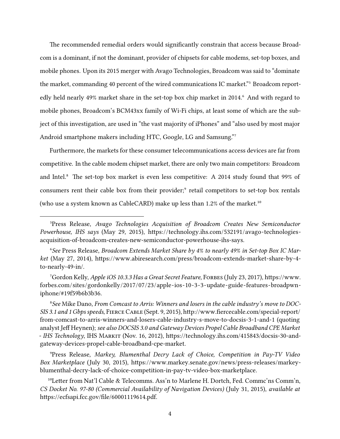The recommended remedial orders would significantly constrain that access because Broadcom is a dominant, if not the dominant, provider of chipsets for cable modems, set-top boxes, and mobile phones. Upon its 2015 merger with Avago Technologies, Broadcom was said to "dominate the market, commanding 40 percent of the wired communications IC market."<sup>5</sup> Broadcom reportedly held nearly 49% market share in the set-top box chip market in 2014. And with regard to mobile phones, Broadcom's BCM43xx family of Wi-Fi chips, at least some of which are the subject of this investigation, are used in "the vast majority of iPhones" and "also used by most major Android smartphone makers including HTC, Google, LG and Samsung."<sup>7</sup>

Furthermore, the markets for these consumer telecommunications access devices are far from competitive. In the cable modem chipset market, there are only two main competitors: Broadcom and Intel.<sup>8</sup> The set-top box market is even less competitive: A 2014 study found that 99% of consumers rent their cable box from their provider;<sup>9</sup> retail competitors to set-top box rentals (who use a system known as CableCARD) make up less than  $1.2\%$  of the market.<sup>10</sup>

<sup>7</sup>Gordon Kelly, *Apple iOS 10.3.3 Has a Great Secret Feature*, FORBES (July 23, 2017), https://www. forbes.com/sites/gordonkelly/2017/07/23/apple-ios-10-3-3-update-guide-features-broadpwniphone/#19f59b6b3b36.

⁸*See* Mike Dano, *From Comcast to Arris: Winners and losers in the cable industry's move to DOC-SIS 3.1 and 1 Gbps speeds*, Fierce Cable (Sept. 9, 2015), http://www.fiercecable.com/special-report/ from-comcast-to-arris-winners-and-losers-cable-industry-s-move-to-docsis-3-1-and-1 (quoting analyst Jeff Heynen); *see also DOCSIS 3.0 and Gateway Devices Propel Cable Broadband CPE Market - IHS Technology*, IHS Markit (Nov. 16, 2012), https://technology.ihs.com/415843/docsis-30-andgateway-devices-propel-cable-broadband-cpe-market.

⁹Press Release, *Markey, Blumenthal Decry Lack of Choice, Competition in Pay-TV Video Box Marketplace* (July 30, 2015), https://www.markey.senate.gov/news/press-releases/markeyblumenthal-decry-lack-of-choice-competition-in-pay-tv-video-box-marketplace.

<sup>10</sup>Letter from Nat'l Cable & Telecomms. Ass'n to Marlene H. Dortch, Fed. Commc'ns Comm'n, *CS Docket No. 97-80 (Commercial Availability of Navigation Devices)* (July 31, 2015), *available at* https://ecfsapi.fcc.gov/file/60001119614.pdf.

⁵Press Release, *Avago Technologies Acquisition of Broadcom Creates New Semiconductor Powerhouse, IHS says* (May 29, 2015), https://technology.ihs.com/532191/avago-technologiesacquisition-of-broadcom-creates-new-semiconductor-powerhouse-ihs-says.

⁶*See* Press Release, *Broadcom Extends Market Share by 4% to nearly 49% in Set-top Box IC Market* (May 27, 2014), https://www.abiresearch.com/press/broadcom-extends-market-share-by-4 to-nearly-49-in/.